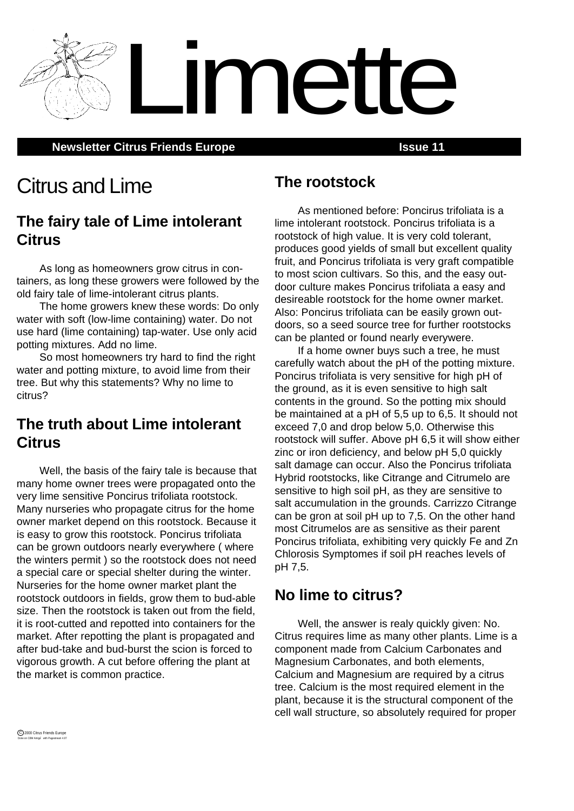**Newsletter Citrus Friends Europe <b>Interpreterate Server 11 ISSUE 11** 

# Citrus and Lime

### **The fairy tale of Lime intolerant Citrus**

As long as homeowners grow citrus in containers, as long these growers were followed by the old fairy tale of lime-intolerant citrus plants.

The home growers knew these words: Do only water with soft (low-lime containing) water. Do not use hard (lime containing) tap-water. Use only acid potting mixtures. Add no lime.

So most homeowners try hard to find the right water and potting mixture, to avoid lime from their tree. But why this statements? Why no lime to citrus?

# **The truth about Lime intolerant Citrus**

Well, the basis of the fairy tale is because that many home owner trees were propagated onto the very lime sensitive Poncirus trifoliata rootstock. Many nurseries who propagate citrus for the home owner market depend on this rootstock. Because it is easy to grow this rootstock. Poncirus trifoliata can be grown outdoors nearly everywhere ( where the winters permit ) so the rootstock does not need a special care or special shelter during the winter. Nurseries for the home owner market plant the rootstock outdoors in fields, grow them to bud-able size. Then the rootstock is taken out from the field, it is root-cutted and repotted into containers for the market. After repotting the plant is propagated and after bud-take and bud-burst the scion is forced to vigorous growth. A cut before offering the plant at the market is common practice.

### **The rootstock**

Limette

As mentioned before: Poncirus trifoliata is a lime intolerant rootstock. Poncirus trifoliata is a rootstock of high value. It is very cold tolerant, produces good yields of small but excellent quality fruit, and Poncirus trifoliata is very graft compatible to most scion cultivars. So this, and the easy outdoor culture makes Poncirus trifoliata a easy and desireable rootstock for the home owner market. Also: Poncirus trifoliata can be easily grown outdoors, so a seed source tree for further rootstocks can be planted or found nearly everywere.

If a home owner buys such a tree, he must carefully watch about the pH of the potting mixture. Poncirus trifoliata is very sensitive for high pH of the ground, as it is even sensitive to high salt contents in the ground. So the potting mix should be maintained at a pH of 5,5 up to 6,5. It should not exceed 7,0 and drop below 5,0. Otherwise this rootstock will suffer. Above pH 6,5 it will show either zinc or iron deficiency, and below pH 5,0 quickly salt damage can occur. Also the Poncirus trifoliata Hybrid rootstocks, like Citrange and Citrumelo are sensitive to high soil pH, as they are sensitive to salt accumulation in the grounds. Carrizzo Citrange can be gron at soil pH up to 7,5. On the other hand most Citrumelos are as sensitive as their parent Poncirus trifoliata, exhibiting very quickly Fe and Zn Chlorosis Symptomes if soil pH reaches levels of pH 7,5.

# **No lime to citrus?**

Well, the answer is realy quickly given: No. Citrus requires lime as many other plants. Lime is a component made from Calcium Carbonates and Magnesium Carbonates, and both elements, Calcium and Magnesium are required by a citrus tree. Calcium is the most required element in the plant, because it is the structural component of the cell wall structure, so absolutely required for proper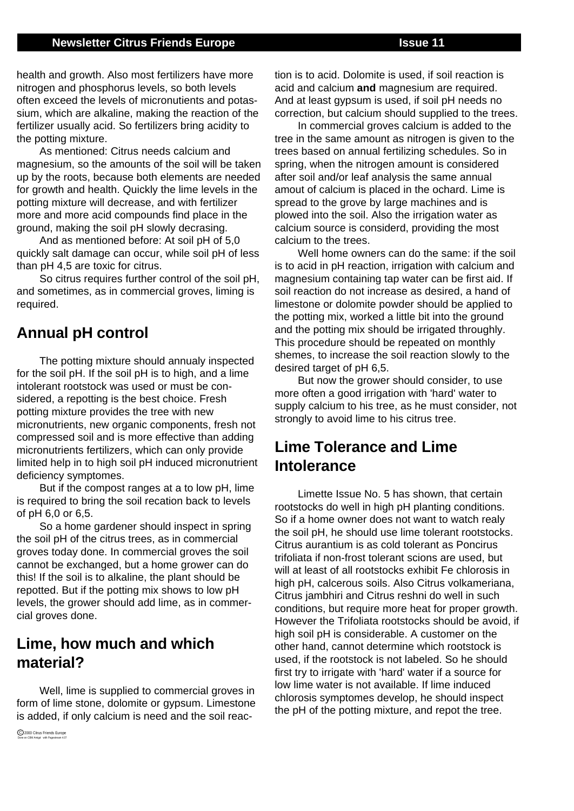#### **Newsletter Citrus Friends Europe <b>Issue 11 ISSUE 11**

health and growth. Also most fertilizers have more nitrogen and phosphorus levels, so both levels often exceed the levels of micronutients and potassium, which are alkaline, making the reaction of the fertilizer usually acid. So fertilizers bring acidity to the potting mixture.

As mentioned: Citrus needs calcium and magnesium, so the amounts of the soil will be taken up by the roots, because both elements are needed for growth and health. Quickly the lime levels in the potting mixture will decrease, and with fertilizer more and more acid compounds find place in the ground, making the soil pH slowly decrasing.

And as mentioned before: At soil pH of 5,0 quickly salt damage can occur, while soil pH of less than pH 4,5 are toxic for citrus.

So citrus requires further control of the soil pH, and sometimes, as in commercial groves, liming is required.

#### **Annual pH control**

The potting mixture should annualy inspected for the soil pH. If the soil pH is to high, and a lime intolerant rootstock was used or must be considered, a repotting is the best choice. Fresh potting mixture provides the tree with new micronutrients, new organic components, fresh not compressed soil and is more effective than adding micronutrients fertilizers, which can only provide limited help in to high soil pH induced micronutrient deficiency symptomes.

But if the compost ranges at a to low pH, lime is required to bring the soil recation back to levels of pH 6,0 or 6,5.

So a home gardener should inspect in spring the soil pH of the citrus trees, as in commercial groves today done. In commercial groves the soil cannot be exchanged, but a home grower can do this! If the soil is to alkaline, the plant should be repotted. But if the potting mix shows to low pH levels, the grower should add lime, as in commercial groves done.

### **Lime, how much and which material?**

Well, lime is supplied to commercial groves in form of lime stone, dolomite or gypsum. Limestone is added, if only calcium is need and the soil reaction is to acid. Dolomite is used, if soil reaction is acid and calcium **and** magnesium are required. And at least gypsum is used, if soil pH needs no correction, but calcium should supplied to the trees.

In commercial groves calcium is added to the tree in the same amount as nitrogen is given to the trees based on annual fertilizing schedules. So in spring, when the nitrogen amount is considered after soil and/or leaf analysis the same annual amout of calcium is placed in the ochard. Lime is spread to the grove by large machines and is plowed into the soil. Also the irrigation water as calcium source is considerd, providing the most calcium to the trees.

Well home owners can do the same: if the soil is to acid in pH reaction, irrigation with calcium and magnesium containing tap water can be first aid. If soil reaction do not increase as desired, a hand of limestone or dolomite powder should be applied to the potting mix, worked a little bit into the ground and the potting mix should be irrigated throughly. This procedure should be repeated on monthly shemes, to increase the soil reaction slowly to the desired target of pH 6,5.

But now the grower should consider, to use more often a good irrigation with 'hard' water to supply calcium to his tree, as he must consider, not strongly to avoid lime to his citrus tree.

# **Lime Tolerance and Lime Intolerance**

Limette Issue No. 5 has shown, that certain rootstocks do well in high pH planting conditions. So if a home owner does not want to watch realy the soil pH, he should use lime tolerant rootstocks. Citrus aurantium is as cold tolerant as Poncirus trifoliata if non-frost tolerant scions are used, but will at least of all rootstocks exhibit Fe chlorosis in high pH, calcerous soils. Also Citrus volkameriana, Citrus jambhiri and Citrus reshni do well in such conditions, but require more heat for proper growth. However the Trifoliata rootstocks should be avoid, if high soil pH is considerable. A customer on the other hand, cannot determine which rootstock is used, if the rootstock is not labeled. So he should first try to irrigate with 'hard' water if a source for low lime water is not available. If lime induced chlorosis symptomes develop, he should inspect the pH of the potting mixture, and repot the tree.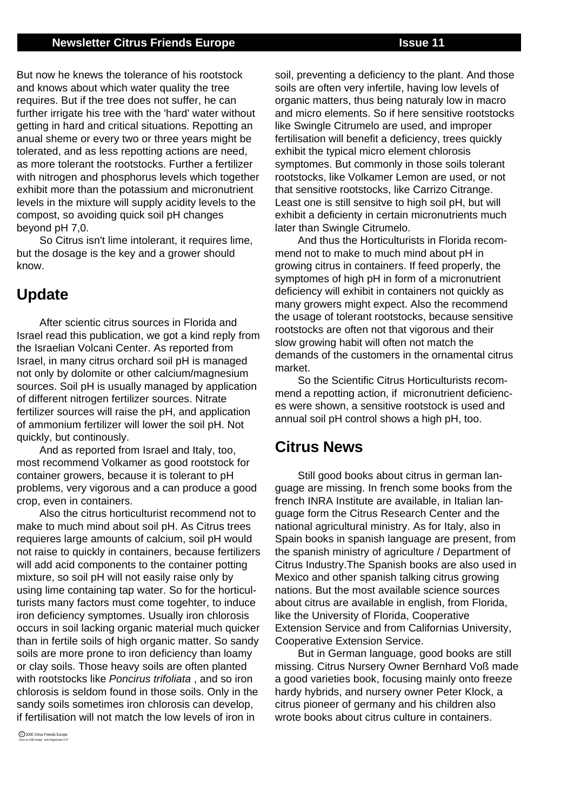#### **Newsletter Citrus Friends Europe <b>Issue 11 ISSUE 11**

But now he knews the tolerance of his rootstock and knows about which water quality the tree requires. But if the tree does not suffer, he can further irrigate his tree with the 'hard' water without getting in hard and critical situations. Repotting an anual sheme or every two or three years might be tolerated, and as less repotting actions are need, as more tolerant the rootstocks. Further a fertilizer with nitrogen and phosphorus levels which together exhibit more than the potassium and micronutrient levels in the mixture will supply acidity levels to the compost, so avoiding quick soil pH changes beyond pH 7,0.

So Citrus isn't lime intolerant, it requires lime, but the dosage is the key and a grower should know.

### **Update**

After scientic citrus sources in Florida and Israel read this publication, we got a kind reply from the Israelian Volcani Center. As reported from Israel, in many citrus orchard soil pH is managed not only by dolomite or other calcium/magnesium sources. Soil pH is usually managed by application of different nitrogen fertilizer sources. Nitrate fertilizer sources will raise the pH, and application of ammonium fertilizer will lower the soil pH. Not quickly, but continously.

And as reported from Israel and Italy, too, most recommend Volkamer as good rootstock for container growers, because it is tolerant to pH problems, very vigorous and a can produce a good crop, even in containers.

Also the citrus horticulturist recommend not to make to much mind about soil pH. As Citrus trees requieres large amounts of calcium, soil pH would not raise to quickly in containers, because fertilizers will add acid components to the container potting mixture, so soil pH will not easily raise only by using lime containing tap water. So for the horticulturists many factors must come togehter, to induce iron deficiency symptomes. Usually iron chlorosis occurs in soil lacking organic material much quicker than in fertile soils of high organic matter. So sandy soils are more prone to iron deficiency than loamy or clay soils. Those heavy soils are often planted with rootstocks like Poncirus trifoliata, and so iron chlorosis is seldom found in those soils. Only in the sandy soils sometimes iron chlorosis can develop. if fertilisation will not match the low levels of iron in

soil, preventing a deficiency to the plant. And those soils are often very infertile, having low levels of organic matters, thus being naturaly low in macro and micro elements. So if here sensitive rootstocks like Swingle Citrumelo are used, and improper fertilisation will benefit a deficiency, trees quickly exhibit the typical micro element chlorosis symptomes. But commonly in those soils tolerant rootstocks, like Volkamer Lemon are used, or not that sensitive rootstocks, like Carrizo Citrange. Least one is still sensitve to high soil pH, but will exhibit a deficienty in certain micronutrients much later than Swingle Citrumelo.

And thus the Horticulturists in Florida recommend not to make to much mind about pH in growing citrus in containers. If feed properly, the symptomes of high pH in form of a micronutrient deficiency will exhibit in containers not quickly as many growers might expect. Also the recommend the usage of tolerant rootstocks, because sensitive rootstocks are often not that vigorous and their slow growing habit will often not match the demands of the customers in the ornamental citrus market.

So the Scientific Citrus Horticulturists recommend a repotting action, if micronutrient deficiences were shown, a sensitive rootstock is used and annual soil pH control shows a high pH, too.

#### **Citrus News**

Still good books about citrus in german language are missing. In french some books from the french INRA Institute are available, in Italian language form the Citrus Research Center and the national agricultural ministry. As for Italy, also in Spain books in spanish language are present, from the spanish ministry of agriculture / Department of Citrus Industry.The Spanish books are also used in Mexico and other spanish talking citrus growing nations. But the most available science sources about citrus are available in english, from Florida, like the University of Florida, Cooperative Extension Service and from Californias University, Cooperative Extension Service.

But in German language, good books are still missing. Citrus Nursery Owner Bernhard Voß made a good varieties book, focusing mainly onto freeze hardy hybrids, and nursery owner Peter Klock, a citrus pioneer of germany and his children also wrote books about citrus culture in containers.